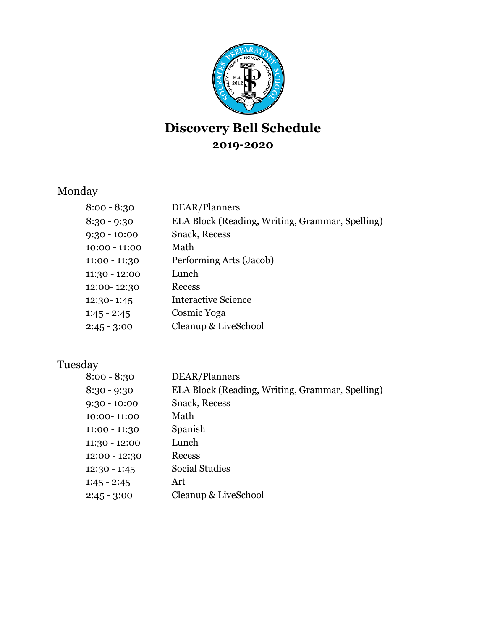

## **Discovery Bell Schedule 2019-2020**

#### Monday

| $8:00 - 8:30$  | DEAR/Planners                                   |
|----------------|-------------------------------------------------|
| 8:30 - 9:30    | ELA Block (Reading, Writing, Grammar, Spelling) |
| $9:30 - 10:00$ | <b>Snack, Recess</b>                            |
| 10:00 - 11:00  | Math                                            |
| 11:00 - 11:30  | Performing Arts (Jacob)                         |
| 11:30 - 12:00  | Lunch                                           |
| 12:00-12:30    | Recess                                          |
| 12:30-1:45     | <b>Interactive Science</b>                      |
| $1:45 - 2:45$  | Cosmic Yoga                                     |
| $2:45 - 3:00$  | Cleanup & LiveSchool                            |
|                |                                                 |

#### Tuesday

| $8:00 - 8:30$  | DEAR/Planners                                   |
|----------------|-------------------------------------------------|
| $8:30 - 9:30$  | ELA Block (Reading, Writing, Grammar, Spelling) |
|                |                                                 |
| $9:30 - 10:00$ | <b>Snack, Recess</b>                            |
| 10:00-11:00    | Math                                            |
| 11:00 - 11:30  | Spanish                                         |
| 11:30 - 12:00  | Lunch                                           |
| 12:00 - 12:30  | Recess                                          |
| $12:30 - 1:45$ | Social Studies                                  |
| $1:45 - 2:45$  | Art                                             |
| $2:45 - 3:00$  | Cleanup & LiveSchool                            |